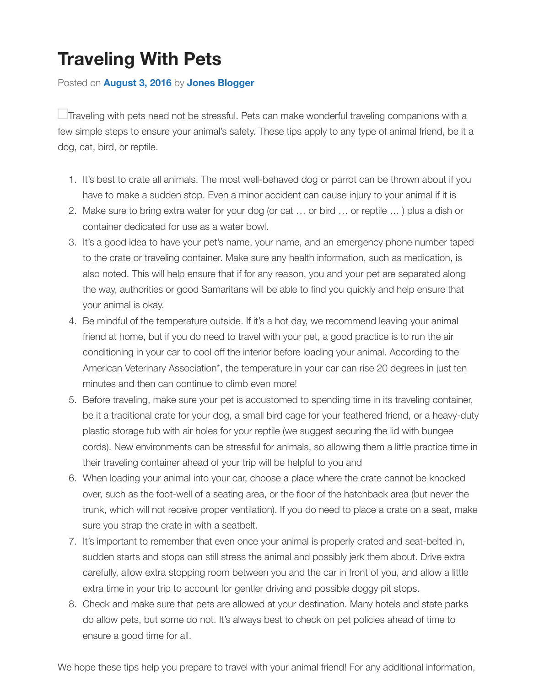Traveling with pets need not be stressful. Pets can make wonderful traveling companions with a few simple steps to ensure your animal's safety. These tips apply to any type of animal friend, be dog, cat, bird, or reptile.

- 1. It's b[est to crate all an](http://blog.jonesjunction.com/traveling-with-pets/)im[als. The most we](http://blog.jonesjunction.com/author/jones-blogger/)ll-behaved dog or parrot can be thrown about if your fit is have to make a sudden stop. Even a minor accident can cause injury to your animal if it is
- 2. Make sure to bring extra water for your dog (or cat ... or bird ... or reptile ... ) plus a dish or container dedicated for use as a water bowl.
- 3. It's a good idea to have your pet's name, your name, and an emergency phone number ta to the crate or traveling container. Make sure any health information, such as medication, i also noted. This will help ensure that if for any reason, you and your pet are separated along the way, authorities or good Samaritans will be able to find you quickly and help ensure that your animal is okay.
- 4. Be mindful of the temperature outside. If it's a hot day, we recommend leaving your animal friend at home, but if you do need to travel with your pet, a good practice is to run the air conditioning in your car to cool off the interior before loading your animal. According to the American Veterinary Association\*, the temperature in your car can rise 20 degrees in just to minutes and then can continue to climb even more!
- 5. Before traveling, make sure your pet is accustomed to spending time in its traveling containg be it a traditional crate for your dog, a small bird cage for your feathered friend, or a heavy plastic storage tub with air holes for your reptile (we suggest securing the lid with bungee cords). New environments can be stressful for animals, so allowing them a little practice tir their traveling container ahead of your trip will be helpful to you and
- 6. When loading your animal into your car, choose a place where the crate cannot be knocke over, such as the foot-well of a seating area, or the floor of the hatchback area (but never to trunk, which will not receive proper ventilation). If you do need to place a crate on a seat, r sure you strap the crate in with a seatbelt.
- 7. It's important to remember that even once your animal is properly crated and seat-belted in, sudden starts and stops can still stress the animal and possibly jerk them about. Drive ext carefully, allow extra stopping room between you and the car in front of you, and allow a lit extra time in your trip to account for gentler driving and possible doggy pit stops.
- 8. Check and make sure that pets are allowed at your destination. Many hotels and state park do allow pets, but some do not. It's always best to check on pet policies ahead of time to ensure a good time for all.

We hope these tips help you prepare to travel with your animal friend! For any additional information,